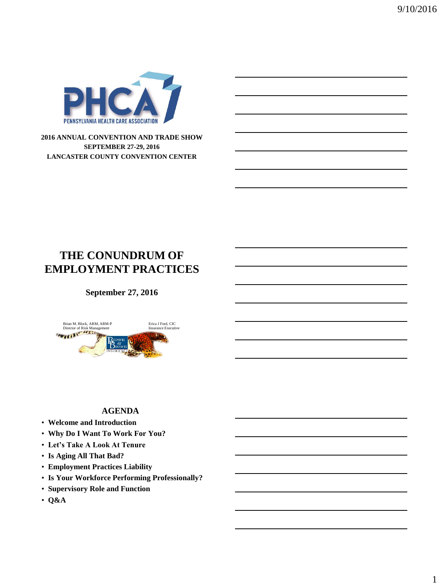

#### **2016 ANNUAL CONVENTION AND TRADE SHOW SEPTEMBER 27-29, 2016 LANCASTER COUNTY CONVENTION CENTER**

## **THE CONUNDRUM OF EMPLOYMENT PRACTICES**

## **September 27, 2016**



#### **AGENDA**

- **Welcome and Introduction**
- **Why Do I Want To Work For You?**
- **Let's Take A Look At Tenure**
- **Is Aging All That Bad?**
- **Employment Practices Liability**
- **Is Your Workforce Performing Professionally?**
- **Supervisory Role and Function**
- **Q&A**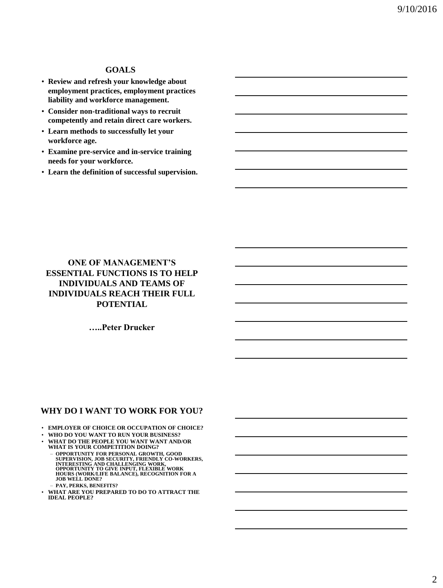#### **GOALS**

- **Review and refresh your knowledge about employment practices, employment practices liability and workforce management.**
- **Consider non-traditional ways to recruit competently and retain direct care workers.**
- **Learn methods to successfully let your workforce age.**
- **Examine pre-service and in-service training needs for your workforce.**
- **Learn the definition of successful supervision.**

## **ONE OF MANAGEMENT'S ESSENTIAL FUNCTIONS IS TO HELP INDIVIDUALS AND TEAMS OF INDIVIDUALS REACH THEIR FULL POTENTIAL**

**…..Peter Drucker**

#### **WHY DO I WANT TO WORK FOR YOU?**

- **EMPLOYER OF CHOICE OR OCCUPATION OF CHOICE?**
- **WHO DO YOU WANT TO RUN YOUR BUSINESS?**
- **WHAT DO THE PEOPLE YOU WANT WANT AND/OR WHAT IS YOUR COMPETITION DOING?**
	- OPPORTUNITY FOR PERSONAL GROWTH, GOOD<br>SUPERVISION, JOB SECURITY, FRIENDLY CO-WORKERS,<br>INTERESTING AND CHALLENGING WORK,<br>OPPORTUNITY TO GIVE INPUT, FLEXIBLE WORK **HOURS (WORK/LIFE BALANCE), RECOGNITION FOR A JOB WELL DONE?**
	- **PAY, PERKS, BENEFITS?**
- **WHAT ARE YOU PREPARED TO DO TO ATTRACT THE IDEAL PEOPLE?**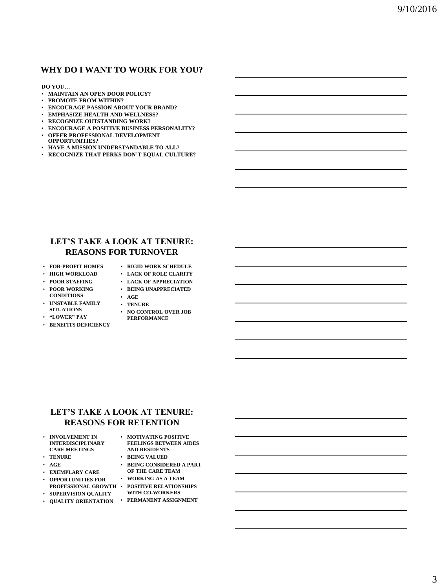#### **WHY DO I WANT TO WORK FOR YOU?**

#### **DO YOU…**

- **MAINTAIN AN OPEN DOOR POLICY?**
- **PROMOTE FROM WITHIN?**
- **ENCOURAGE PASSION ABOUT YOUR BRAND?**
- **EMPHASIZE HEALTH AND WELLNESS?**
- **RECOGNIZE OUTSTANDING WORK?**
- **ENCOURAGE A POSITIVE BUSINESS PERSONALITY?**
- **OFFER PROFESSIONAL DEVELOPMENT**
- **OPPORTUNITIES?**
- **HAVE A MISSION UNDERSTANDABLE TO ALL?**
- **RECOGNIZE THAT PERKS DON'T EQUAL CULTURE?**

## **LET'S TAKE A LOOK AT TENURE: REASONS FOR TURNOVER**

- **FOR-PROFIT HOMES**
- **RIGID WORK SCHEDULE**
- **HIGH WORKLOAD**
- **LACK OF ROLE CLARITY**
- **POOR STAFFING**
- **LACK OF APPRECIATION** • **BEING UNAPPRECIATED**
- **POOR WORKING**
- **CONDITIONS** • **UNSTABLE FAMILY**
- **AGE** • **TENURE**
- **SITUATIONS**
- **"LOWER" PAY**
- **BENEFITS DEFICIENCY**
- **NO CONTROL OVER JOB PERFORMANCE**

#### **LET'S TAKE A LOOK AT TENURE: REASONS FOR RETENTION**

| ٠ | <b>INVOLVEMENT IN</b>    |
|---|--------------------------|
|   | <b>INTERDISCIPLINARY</b> |
|   | <b>CARE MEETINGS</b>     |

- **TENURE**
- **AGE**

• **EXEMPLARY CARE**

- **OPPORTUNITIES FOR**
- 
- **SUPERVISION QUALITY**
- **QUALITY ORIENTATION PERMANENT ASSIGNMENT**
- **PROFESSIONAL GROWTH POSITIVE RELATIONSHIPS**  • **BEING CONSIDERED A PART OF THE CARE TEAM** • **WORKING AS A TEAM**

• **MOTIVATING POSITIVE FEELINGS BETWEEN AIDES AND RESIDENTS** • **BEING VALUED** 

- **WITH CO-WORKERS**
-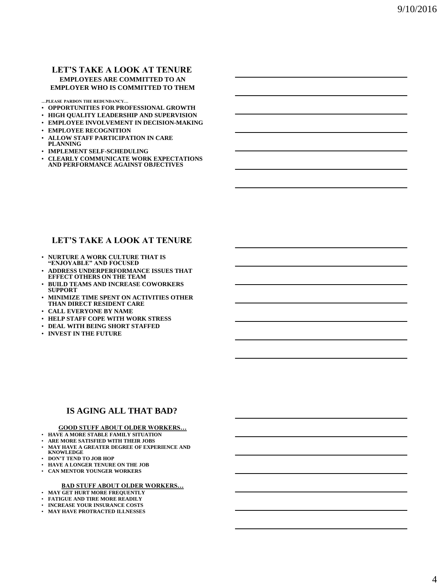#### **LET'S TAKE A LOOK AT TENURE EMPLOYEES ARE COMMITTED TO AN EMPLOYER WHO IS COMMITTED TO THEM**

**…PLEASE PARDON THE REDUNDANCY…**

- **OPPORTUNITIES FOR PROFESSIONAL GROWTH**
- **HIGH QUALITY LEADERSHIP AND SUPERVISION**
- **EMPLOYEE INVOLVEMENT IN DECISION-MAKING**
- **EMPLOYEE RECOGNITION**
- **ALLOW STAFF PARTICIPATION IN CARE PLANNING**
- **IMPLEMENT SELF-SCHEDULING**
- **CLEARLY COMMUNICATE WORK EXPECTATIONS AND PERFORMANCE AGAINST OBJECTIVES**

## **LET'S TAKE A LOOK AT TENURE**

- **NURTURE A WORK CULTURE THAT IS "ENJOYABLE" AND FOCUSED**
- **ADDRESS UNDERPERFORMANCE ISSUES THAT EFFECT OTHERS ON THE TEAM**
- **BUILD TEAMS AND INCREASE COWORKERS SUPPORT**
- **MINIMIZE TIME SPENT ON ACTIVITIES OTHER THAN DIRECT RESIDENT CARE**
- **CALL EVERYONE BY NAME**
- **HELP STAFF COPE WITH WORK STRESS**
- **DEAL WITH BEING SHORT STAFFED**
- **INVEST IN THE FUTURE**

#### **IS AGING ALL THAT BAD?**

#### **GOOD STUFF ABOUT OLDER WORKERS…**

- **HAVE A MORE STABLE FAMILY SITUATION**
- **ARE MORE SATISFIED WITH THEIR JOBS**
- **MAY HAVE A GREATER DEGREE OF EXPERIENCE AND**
- **KNOWLEDGE**
- **DON'T TEND TO JOB HOP**
- **HAVE A LONGER TENURE ON THE JOB** • **CAN MENTOR YOUNGER WORKERS**
- 

#### **BAD STUFF ABOUT OLDER WORKERS…**

- **MAY GET HURT MORE FREQUENTLY**
- **FATIGUE AND TIRE MORE READILY**
- **INCREASE YOUR INSURANCE COSTS**
- **MAY HAVE PROTRACTED ILLNESSES**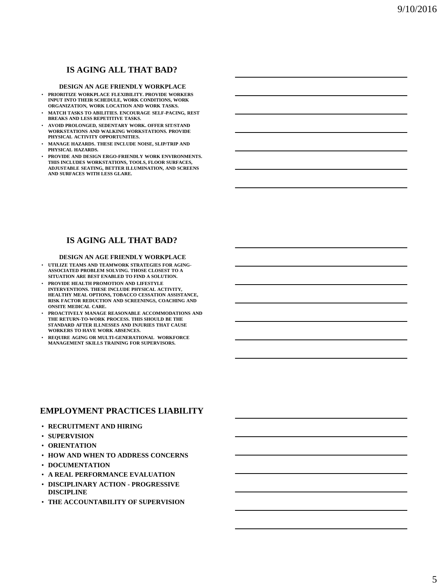## **IS AGING ALL THAT BAD?**

#### **DESIGN AN AGE FRIENDLY WORKPLACE**

- **PRIORITIZE WORKPLACE FLEXIBILITY. PROVIDE WORKERS INPUT INTO THEIR SCHEDULE, WORK CONDITIONS, WORK ORGANIZATION, WORK LOCATION AND WORK TASKS.**
- **MATCH TASKS TO ABILITIES. ENCOURAGE SELF-PACING, REST BREAKS AND LESS REPETITIVE TASKS.**
- **AVOID PROLONGED, SEDENTARY WORK. OFFER SIT/STAND WORKSTATIONS AND WALKING WORKSTATIONS. PROVIDE PHYSICAL ACTIVITY OPPORTUNITIES.**
- **MANAGE HAZARDS. THESE INCLUDE NOISE, SLIP/TRIP AND PHYSICAL HAZARDS.**
- **PROVIDE AND DESIGN ERGO-FRIENDLY WORK ENVIRONMENTS. THIS INCLUDES WORKSTATIONS, TOOLS, FLOOR SURFACES, ADJUSTABLE SEATING, BETTER ILLUMINATION, AND SCREENS AND SURFACES WITH LESS GLARE.**

## **IS AGING ALL THAT BAD?**

#### **DESIGN AN AGE FRIENDLY WORKPLACE**

- **UTILIZE TEAMS AND TEAMWORK STRATEGIES FOR AGING-ASSOCIATED PROBLEM SOLVING. THOSE CLOSEST TO A SITUATION ARE BEST ENABLED TO FIND A SOLUTION.**
- **PROVIDE HEALTH PROMOTION AND LIFESTYLE INTERVENTIONS. THESE INCLUDE PHYSICAL ACTIVITY HEALTHY MEAL OPTIONS, TOBACCO CESSATION ASSISTANCE, RISK FACTOR REDUCTION AND SCREENINGS, COACHING AND ONSITE MEDICAL CARE.**
- **PROACTIVELY MANAGE REASONABLE ACCOMMODATIONS AND THE RETURN-TO-WORK PROCESS. THIS SHOULD BE THE STANDARD AFTER ILLNESSES AND INJURIES THAT CAUSE WORKERS TO HAVE WORK ABSENCES.**
- **REQUIRE AGING OR MULTI-GENERATIONAL WORKFORCE MANAGEMENT SKILLS TRAINING FOR SUPERVISORS.**

#### **EMPLOYMENT PRACTICES LIABILITY**

- **RECRUITMENT AND HIRING**
- **SUPERVISION**
- **ORIENTATION**
- **HOW AND WHEN TO ADDRESS CONCERNS**
- **DOCUMENTATION**
- **A REAL PERFORMANCE EVALUATION**
- **DISCIPLINARY ACTION - PROGRESSIVE DISCIPLINE**
- **THE ACCOUNTABILITY OF SUPERVISION**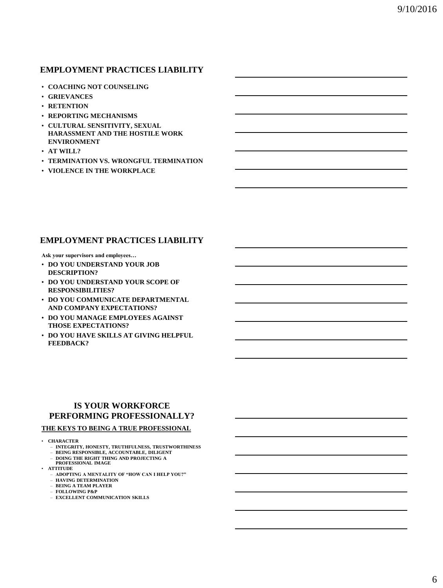## **EMPLOYMENT PRACTICES LIABILITY**

- **COACHING NOT COUNSELING**
- **GRIEVANCES**
- **RETENTION**
- **REPORTING MECHANISMS**
- **CULTURAL SENSITIVITY, SEXUAL HARASSMENT AND THE HOSTILE WORK ENVIRONMENT**
- **AT WILL?**
- **TERMINATION VS. WRONGFUL TERMINATION**
- **VIOLENCE IN THE WORKPLACE**

## **EMPLOYMENT PRACTICES LIABILITY**

**Ask your supervisors and employees…**

- **DO YOU UNDERSTAND YOUR JOB DESCRIPTION?**
- **DO YOU UNDERSTAND YOUR SCOPE OF RESPONSIBILITIES?**
- **DO YOU COMMUNICATE DEPARTMENTAL AND COMPANY EXPECTATIONS?**
- **DO YOU MANAGE EMPLOYEES AGAINST THOSE EXPECTATIONS?**
- **DO YOU HAVE SKILLS AT GIVING HELPFUL FEEDBACK?**

## **IS YOUR WORKFORCE PERFORMING PROFESSIONALLY?**

#### **THE KEYS TO BEING A TRUE PROFESSIONAL**

- **CHARACTER**
	- **INTEGRITY, HONESTY, TRUTHFULNESS, TRUSTWORTHINESS** – **BEING RESPONSIBLE, ACCOUNTABLE, DILIGENT**
	- **DOING THE RIGHT THING AND PROJECTING A PROFESSIONAL IMAGE**
- **ATTITUDE**
	- **ADOPTING A MENTALITY OF "HOW CAN I HELP YOU?"**
	- **HAVING DETERMINATION**
	- **BEING A TEAM PLAYER**
	- **FOLLOWING P&P** – **EXCELLENT COMMUNICATION SKILLS**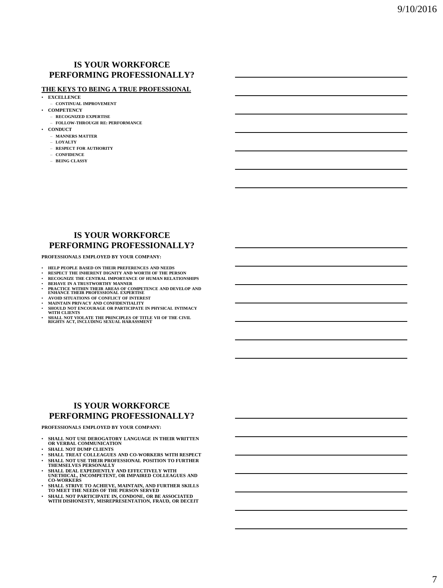#### **IS YOUR WORKFORCE PERFORMING PROFESSIONALLY?**

#### **THE KEYS TO BEING A TRUE PROFESSIONAL**

- **EXCELLENCE**
- **CONTINUAL IMPROVEMENT**
- **COMPETENCY**
- **RECOGNIZED EXPERTISE** – **FOLLOW-THROUGH RE: PERFORMANCE**
- **CONDUCT**
	- **MANNERS MATTER**
	- **LOYALTY**
	- **RESPECT FOR AUTHORITY**
	- **CONFIDENCE**
	- **BEING CLASSY**

#### **IS YOUR WORKFORCE PERFORMING PROFESSIONALLY?**

**PROFESSIONALS EMPLOYED BY YOUR COMPANY:**

- **HELP PEOPLE BASED ON THEIR PREFERENCES AND NEEDS**
- **RESPECT THE INHERENT DIGNITY AND WORTH OF THE PERSON**
- **RECOGNIZE THE CENTRAL IMPORTANCE OF HUMAN RELATIONSHIPS**
- 
- **BEHAVE IN A TRUSTWORTHY MANNER PRACTICE WITHIN THEIR AREAS OF COMPETENCE AND DEVELOP AND ENHANCE THEIR PROFESSIONAL EXPERTISE**  • **AVOID SITUATIONS OF CONFLICT OF INTEREST**
- 
- **MAINTAIN PRIVACY AND CONFIDENTIALITY**
- **SHOULD NOT ENCOURAGE OR PARTICIPATE IN PHYSICAL INTIMACY WITH CLIENTS**
- **SHALL NOT VIOLATE THE PRINCIPLES OF TITLE VII OF THE CIVIL RIGHTS ACT, INCLUDING SEXUAL HARASSMENT**

#### **IS YOUR WORKFORCE PERFORMING PROFESSIONALLY?**

**PROFESSIONALS EMPLOYED BY YOUR COMPANY:**

- **SHALL NOT USE DEROGATORY LANGUAGE IN THEIR WRITTEN OR VERBAL COMMUNICATION**
- **SHALL NOT DUMP CLIENTS**
- **SHALL TREAT COLLEAGUES AND CO-WORKERS WITH RESPECT**
- **SHALL NOT USE THEIR PROFESSIONAL POSITION TO FURTHER THEMSELVES PERSONALLY**
- **SHALL DEAL EXPEDIENTLY AND EFFECTIVELY WITH UNETHICAL, INCOMPETENT, OR IMPAIRED COLLEAGUES AND CO-WORKERS**
- **SHALL STRIVE TO ACHIEVE, MAINTAIN, AND FURTHER SKILLS TO MEET THE NEEDS OF THE PERSON SERVED**
- **SHALL NOT PARTICIPATE IN, CONDONE, OR BE ASSOCIATED WITH DISHONESTY, MISREPRESENTATION, FRAUD, OR DECEIT**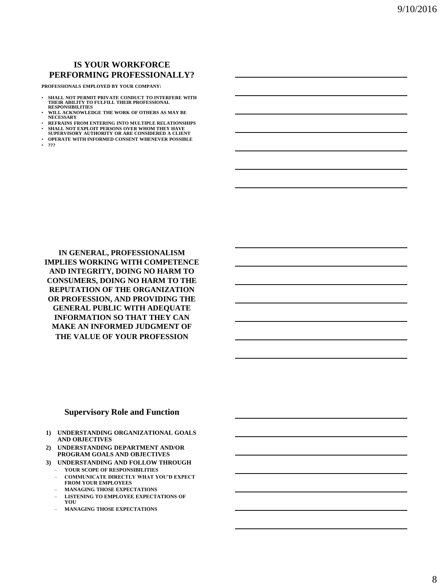## **IS YOUR WORKFORCE PERFORMING PROFESSIONALLY?**

**PROFESSIONALS EMPLOYED BY YOUR COMPANY:**

- **SHALL NOT PERMIT PRIVATE CONDUCT TO INTERFERE WITH THEIR ABILITY TO FULFILL THEIR PROFESSIONAL RESPONSIBILITIES**
- **WILL ACKNOWLEDGE THE WORK OF OTHERS AS MAY BE NECESSARY**
- **REFRAINS FROM ENTERING INTO MULTIPLE RELATIONSHIPS**
- **SHALL NOT EXPLOIT PERSONS OVER WHOM THEY HAVE SUPERVISORY AUTHORITY OR ARE CONSIDERED A CLIENT**
- **OPERATE WITH INFORMED CONSENT WHENEVER POSSIBLE**
- **???**

**IN GENERAL, PROFESSIONALISM IMPLIES WORKING WITH COMPETENCE AND INTEGRITY, DOING NO HARM TO CONSUMERS, DOING NO HARM TO THE REPUTATION OF THE ORGANIZATION OR PROFESSION, AND PROVIDING THE GENERAL PUBLIC WITH ADEQUATE INFORMATION SO THAT THEY CAN MAKE AN INFORMED JUDGMENT OF THE VALUE OF YOUR PROFESSION** 

#### **Supervisory Role and Function**

- **1) UNDERSTANDING ORGANIZATIONAL GOALS AND OBJECTIVES**
- **2) UNDERSTANDING DEPARTMENT AND/OR PROGRAM GOALS AND OBJECTIVES**
- **3) UNDERSTANDING AND FOLLOW THROUGH** – **YOUR SCOPE OF RESPONSIBILITIES**
	- **COMMUNICATE DIRECTLY WHAT YOU'D EXPECT FROM YOUR EMPLOYEES**
	- **MANAGING THOSE EXPECTATIONS**
	- **LISTENING TO EMPLOYEE EXPECTATIONS OF YOU**
	- **MANAGING THOSE EXPECTATIONS**